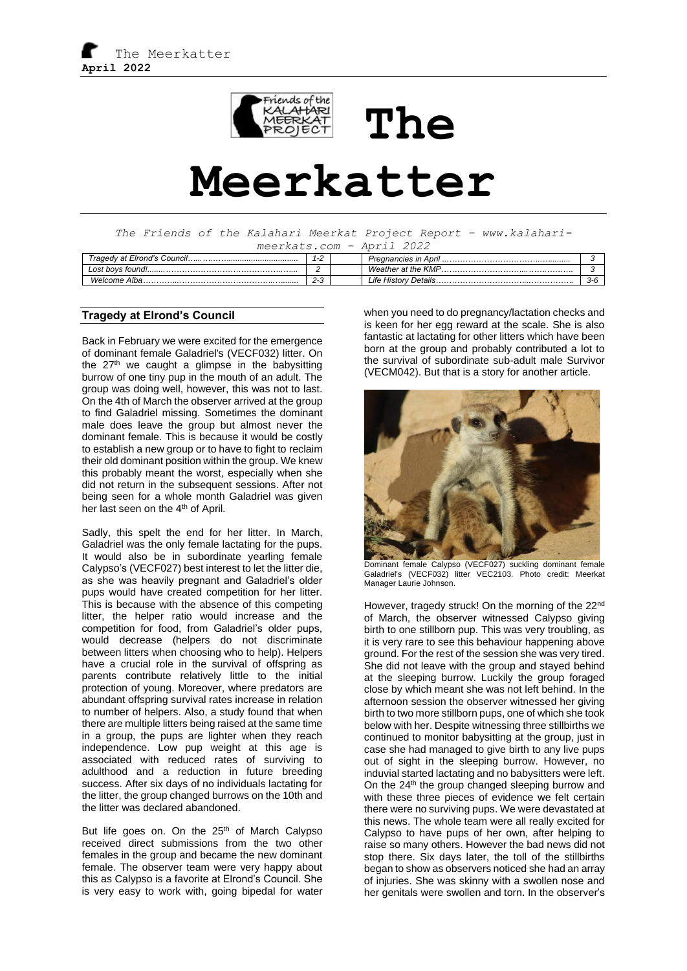

# **The Meerkatter**

*The Friends of the Kalahari Meerkat Project Report – www.kalaharimeerkats.com – April 2022*

| 11100111001100111<br>. <i>. .</i> .<br>. |                                |                      |       |  |  |
|------------------------------------------|--------------------------------|----------------------|-------|--|--|
| Tragedy at Elrond's Council              | ີ<br>$\mathbf{I} - \mathbf{I}$ |                      |       |  |  |
| Lost bovs found!                         |                                | Weather at the KMP.  |       |  |  |
| Welcome Alba.                            | ົ<br>د-∠                       | Life History Details | . ゴーじ |  |  |

## **Tragedy at Elrond's Council**

Back in February we were excited for the emergence of dominant female Galadriel's (VECF032) litter. On the  $27<sup>th</sup>$  we caught a glimpse in the babysitting burrow of one tiny pup in the mouth of an adult. The group was doing well, however, this was not to last. On the 4th of March the observer arrived at the group to find Galadriel missing. Sometimes the dominant male does leave the group but almost never the dominant female. This is because it would be costly to establish a new group or to have to fight to reclaim their old dominant position within the group. We knew this probably meant the worst, especially when she did not return in the subsequent sessions. After not being seen for a whole month Galadriel was given her last seen on the 4<sup>th</sup> of April.

Sadly, this spelt the end for her litter. In March, Galadriel was the only female lactating for the pups. It would also be in subordinate yearling female Calypso's (VECF027) best interest to let the litter die, as she was heavily pregnant and Galadriel's older pups would have created competition for her litter. This is because with the absence of this competing litter, the helper ratio would increase and the competition for food, from Galadriel's older pups, would decrease (helpers do not discriminate between litters when choosing who to help). Helpers have a crucial role in the survival of offspring as parents contribute relatively little to the initial protection of young. Moreover, where predators are abundant offspring survival rates increase in relation to number of helpers. Also, a study found that when there are multiple litters being raised at the same time in a group, the pups are lighter when they reach independence. Low pup weight at this age is associated with reduced rates of surviving to adulthood and a reduction in future breeding success. After six days of no individuals lactating for the litter, the group changed burrows on the 10th and the litter was declared abandoned.

But life goes on. On the  $25<sup>th</sup>$  of March Calypso received direct submissions from the two other females in the group and became the new dominant female. The observer team were very happy about this as Calypso is a favorite at Elrond's Council. She is very easy to work with, going bipedal for water

when you need to do pregnancy/lactation checks and is keen for her egg reward at the scale. She is also fantastic at lactating for other litters which have been born at the group and probably contributed a lot to the survival of subordinate sub-adult male Survivor (VECM042). But that is a story for another article.



Dominant female Calypso (VECF027) suckling dominant female Galadriel's (VECF032) litter VEC2103. Photo credit: Meerkat Manager Laurie Johnson.

However, tragedy struck! On the morning of the 22<sup>nd</sup> of March, the observer witnessed Calypso giving birth to one stillborn pup. This was very troubling, as it is very rare to see this behaviour happening above ground. For the rest of the session she was very tired. She did not leave with the group and stayed behind at the sleeping burrow. Luckily the group foraged close by which meant she was not left behind. In the afternoon session the observer witnessed her giving birth to two more stillborn pups, one of which she took below with her. Despite witnessing three stillbirths we continued to monitor babysitting at the group, just in case she had managed to give birth to any live pups out of sight in the sleeping burrow. However, no induvial started lactating and no babysitters were left. On the 24<sup>th</sup> the group changed sleeping burrow and with these three pieces of evidence we felt certain there were no surviving pups. We were devastated at this news. The whole team were all really excited for Calypso to have pups of her own, after helping to raise so many others. However the bad news did not stop there. Six days later, the toll of the stillbirths began to show as observers noticed she had an array of injuries. She was skinny with a swollen nose and her genitals were swollen and torn. In the observer's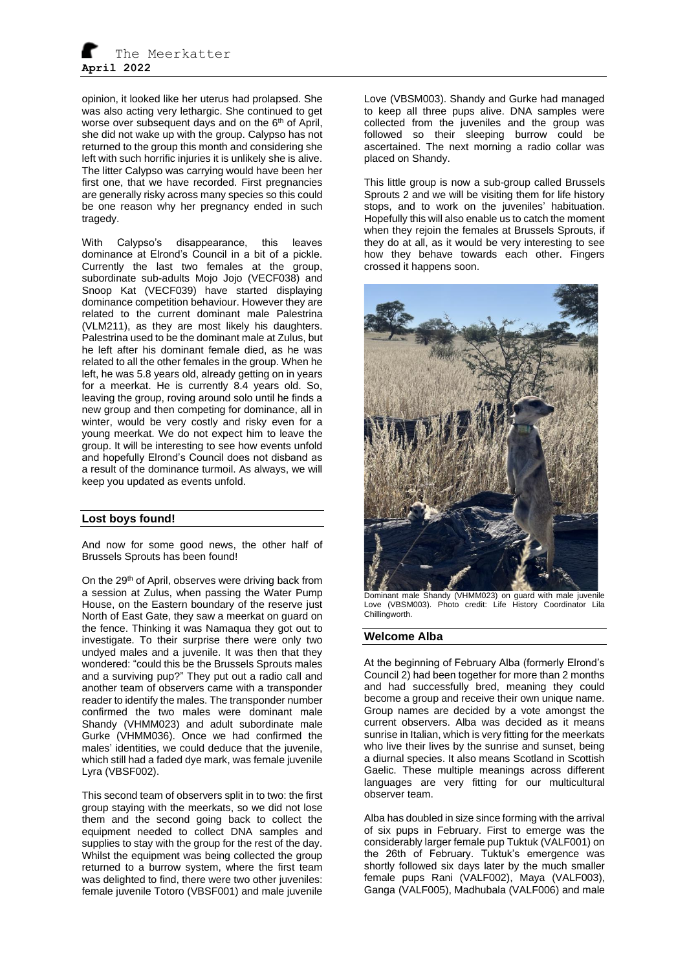opinion, it looked like her uterus had prolapsed. She was also acting very lethargic. She continued to get worse over subsequent days and on the  $6<sup>th</sup>$  of April, she did not wake up with the group. Calypso has not returned to the group this month and considering she left with such horrific injuries it is unlikely she is alive. The litter Calypso was carrying would have been her first one, that we have recorded. First pregnancies are generally risky across many species so this could be one reason why her pregnancy ended in such tragedy.

With Calypso's disappearance, this leaves dominance at Elrond's Council in a bit of a pickle. Currently the last two females at the group, subordinate sub-adults Mojo Jojo (VECF038) and Snoop Kat (VECF039) have started displaying dominance competition behaviour. However they are related to the current dominant male Palestrina (VLM211), as they are most likely his daughters. Palestrina used to be the dominant male at Zulus, but he left after his dominant female died, as he was related to all the other females in the group. When he left, he was 5.8 years old, already getting on in years for a meerkat. He is currently 8.4 years old. So, leaving the group, roving around solo until he finds a new group and then competing for dominance, all in winter, would be very costly and risky even for a young meerkat. We do not expect him to leave the group. It will be interesting to see how events unfold and hopefully Elrond's Council does not disband as a result of the dominance turmoil. As always, we will keep you updated as events unfold.

# **Lost boys found!**

And now for some good news, the other half of Brussels Sprouts has been found!

On the 29<sup>th</sup> of April, observes were driving back from a session at Zulus, when passing the Water Pump House, on the Eastern boundary of the reserve just North of East Gate, they saw a meerkat on guard on the fence. Thinking it was Namaqua they got out to investigate. To their surprise there were only two undyed males and a juvenile. It was then that they wondered: "could this be the Brussels Sprouts males and a surviving pup?" They put out a radio call and another team of observers came with a transponder reader to identify the males. The transponder number confirmed the two males were dominant male Shandy (VHMM023) and adult subordinate male Gurke (VHMM036). Once we had confirmed the males' identities, we could deduce that the juvenile, which still had a faded dye mark, was female juvenile Lyra (VBSF002).

This second team of observers split in to two: the first group staying with the meerkats, so we did not lose them and the second going back to collect the equipment needed to collect DNA samples and supplies to stay with the group for the rest of the day. Whilst the equipment was being collected the group returned to a burrow system, where the first team was delighted to find, there were two other juveniles: female juvenile Totoro (VBSF001) and male juvenile

Love (VBSM003). Shandy and Gurke had managed to keep all three pups alive. DNA samples were collected from the juveniles and the group was followed so their sleeping burrow could be ascertained. The next morning a radio collar was placed on Shandy.

This little group is now a sub-group called Brussels Sprouts 2 and we will be visiting them for life history stops, and to work on the juveniles' habituation. Hopefully this will also enable us to catch the moment when they rejoin the females at Brussels Sprouts, if they do at all, as it would be very interesting to see how they behave towards each other. Fingers crossed it happens soon.



Dominant male Shandy (VHMM023) on guard with male juvenile Love (VBSM003). Photo credit: Life History Coordinator Lila Chillingworth.

#### **Welcome Alba**

At the beginning of February Alba (formerly Elrond's Council 2) had been together for more than 2 months and had successfully bred, meaning they could become a group and receive their own unique name. Group names are decided by a vote amongst the current observers. Alba was decided as it means sunrise in Italian, which is very fitting for the meerkats who live their lives by the sunrise and sunset, being a diurnal species. It also means Scotland in Scottish Gaelic. These multiple meanings across different languages are very fitting for our multicultural observer team.

Alba has doubled in size since forming with the arrival of six pups in February. First to emerge was the considerably larger female pup Tuktuk (VALF001) on the 26th of February. Tuktuk's emergence was shortly followed six days later by the much smaller female pups Rani (VALF002), Maya (VALF003), Ganga (VALF005), Madhubala (VALF006) and male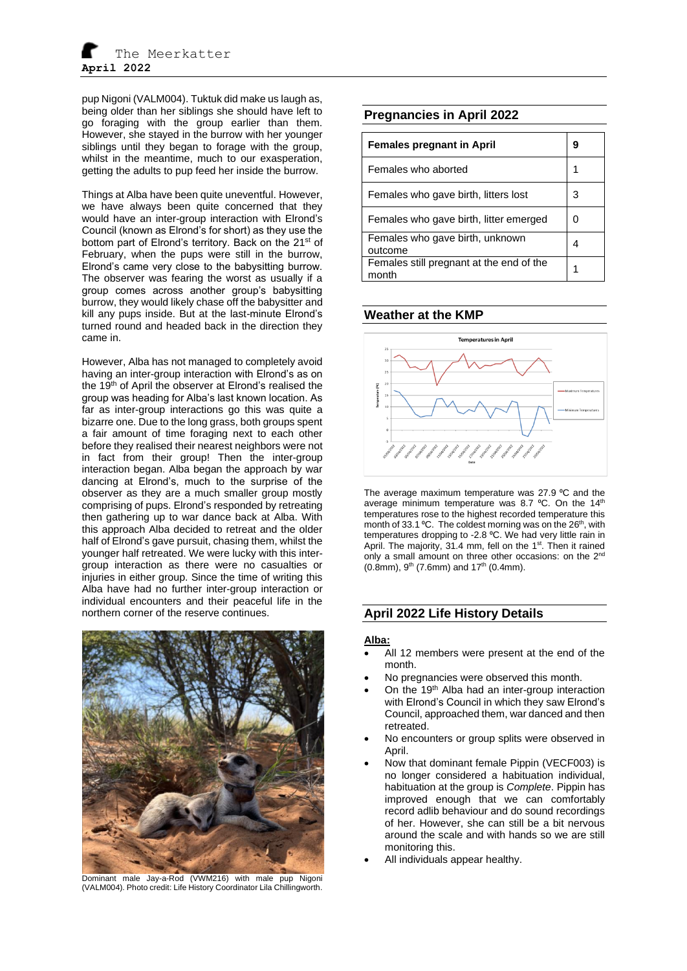pup Nigoni (VALM004). Tuktuk did make us laugh as, being older than her siblings she should have left to go foraging with the group earlier than them. However, she stayed in the burrow with her younger siblings until they began to forage with the group, whilst in the meantime, much to our exasperation. getting the adults to pup feed her inside the burrow.

Things at Alba have been quite uneventful. However, we have always been quite concerned that they would have an inter-group interaction with Elrond's Council (known as Elrond's for short) as they use the bottom part of Elrond's territory. Back on the 21<sup>st</sup> of February, when the pups were still in the burrow, Elrond's came very close to the babysitting burrow. The observer was fearing the worst as usually if a group comes across another group's babysitting burrow, they would likely chase off the babysitter and kill any pups inside. But at the last-minute Elrond's turned round and headed back in the direction they came in.

However, Alba has not managed to completely avoid having an inter-group interaction with Elrond's as on the 19<sup>th</sup> of April the observer at Elrond's realised the group was heading for Alba's last known location. As far as inter-group interactions go this was quite a bizarre one. Due to the long grass, both groups spent a fair amount of time foraging next to each other before they realised their nearest neighbors were not in fact from their group! Then the inter-group interaction began. Alba began the approach by war dancing at Elrond's, much to the surprise of the observer as they are a much smaller group mostly comprising of pups. Elrond's responded by retreating then gathering up to war dance back at Alba. With this approach Alba decided to retreat and the older half of Elrond's gave pursuit, chasing them, whilst the younger half retreated. We were lucky with this intergroup interaction as there were no casualties or injuries in either group. Since the time of writing this Alba have had no further inter-group interaction or individual encounters and their peaceful life in the northern corner of the reserve continues.



Dominant male Jay-a-Rod (VWM216) with male pup Nigoni (VALM004). Photo credit: Life History Coordinator Lila Chillingworth.

# **Pregnancies in April 2022**

| <b>Females pregnant in April</b>                  |   |
|---------------------------------------------------|---|
| Females who aborted                               |   |
| Females who gave birth, litters lost              | З |
| Females who gave birth, litter emerged            | ი |
| Females who gave birth, unknown<br>outcome        |   |
| Females still pregnant at the end of the<br>month |   |

## **Weather at the KMP**



The average maximum temperature was 27.9 °C and the average minimum temperature was 8.7 °C. On the 14<sup>th</sup> temperatures rose to the highest recorded temperature this month of 33.1 °C. The coldest morning was on the 26<sup>th</sup>, with temperatures dropping to -2.8 °C. We had very little rain in April. The majority, 31.4 mm, fell on the 1<sup>st</sup>. Then it rained only a small amount on three other occasions: on the  $2^{nc}$  $(0.8$ mm), 9<sup>th</sup> (7.6mm) and 17<sup>th</sup> (0.4mm).

# **April 2022 Life History Details**

#### **Alba:**

- All 12 members were present at the end of the month.
- No pregnancies were observed this month.
- On the 19<sup>th</sup> Alba had an inter-group interaction with Elrond's Council in which they saw Elrond's Council, approached them, war danced and then retreated.
- No encounters or group splits were observed in April.
- Now that dominant female Pippin (VECF003) is no longer considered a habituation individual, habituation at the group is *Complete*. Pippin has improved enough that we can comfortably record adlib behaviour and do sound recordings of her. However, she can still be a bit nervous around the scale and with hands so we are still monitoring this.
- All individuals appear healthy.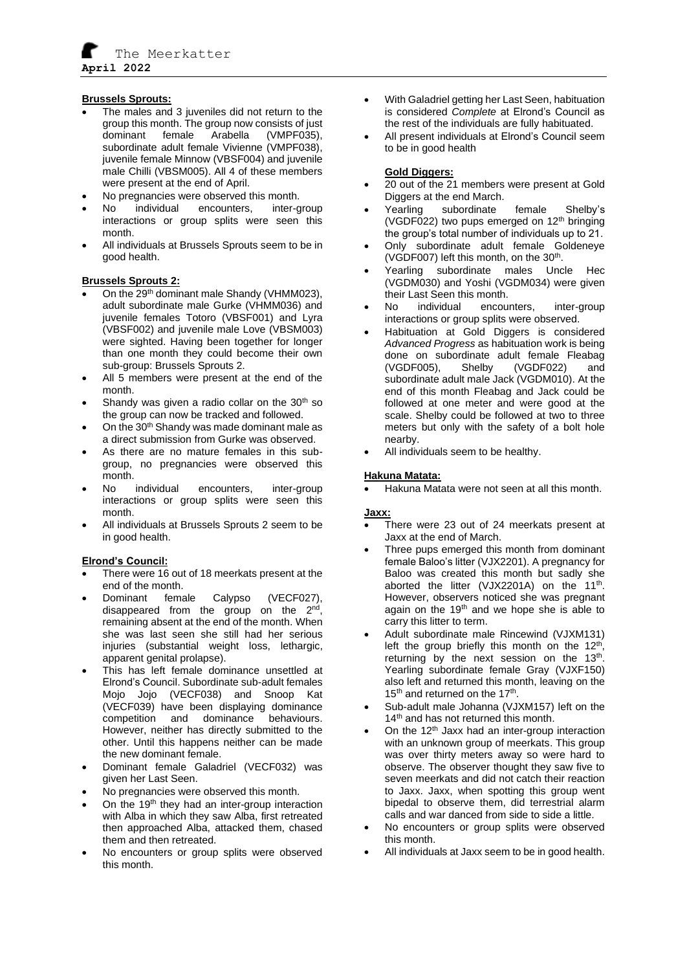

## **Brussels Sprouts:**

- The males and 3 juveniles did not return to the group this month. The group now consists of just dominant female Arabella (VMPF035), subordinate adult female Vivienne (VMPF038), juvenile female Minnow (VBSF004) and juvenile male Chilli (VBSM005). All 4 of these members were present at the end of April.
- No pregnancies were observed this month.<br>No individual encounters inter-or
- No individual encounters, inter-group interactions or group splits were seen this month.
- All individuals at Brussels Sprouts seem to be in good health.

## **Brussels Sprouts 2:**

- On the 29<sup>th</sup> dominant male Shandy (VHMM023), adult subordinate male Gurke (VHMM036) and juvenile females Totoro (VBSF001) and Lyra (VBSF002) and juvenile male Love (VBSM003) were sighted. Having been together for longer than one month they could become their own sub-group: Brussels Sprouts 2.
- All 5 members were present at the end of the month.
- Shandy was given a radio collar on the  $30<sup>th</sup>$  so the group can now be tracked and followed.
- On the 30<sup>th</sup> Shandy was made dominant male as a direct submission from Gurke was observed.
- As there are no mature females in this subgroup, no pregnancies were observed this month.
- No individual encounters, inter-group interactions or group splits were seen this month.
- All individuals at Brussels Sprouts 2 seem to be in good health.

#### **Elrond's Council:**

- There were 16 out of 18 meerkats present at the end of the month.
- Dominant female Calypso (VECF027), disappeared from the group on the  $2^{nd}$ , remaining absent at the end of the month. When she was last seen she still had her serious injuries (substantial weight loss, lethargic, apparent genital prolapse).
- This has left female dominance unsettled at Elrond's Council. Subordinate sub-adult females Mojo Jojo (VECF038) and Snoop Kat (VECF039) have been displaying dominance competition and dominance behaviours. However, neither has directly submitted to the other. Until this happens neither can be made the new dominant female.
- Dominant female Galadriel (VECF032) was given her Last Seen.
- No pregnancies were observed this month.
- On the 19<sup>th</sup> they had an inter-group interaction with Alba in which they saw Alba, first retreated then approached Alba, attacked them, chased them and then retreated.
- No encounters or group splits were observed this month.
- With Galadriel getting her Last Seen, habituation is considered *Complete* at Elrond's Council as the rest of the individuals are fully habituated.
- All present individuals at Elrond's Council seem to be in good health

## **Gold Diggers:**

- 20 out of the 21 members were present at Gold Diggers at the end March.
- Yearling subordinate female Shelby's (VGDF022) two pups emerged on  $12<sup>th</sup>$  bringing the group's total number of individuals up to 21.
- Only subordinate adult female Goldeneye (VGDF007) left this month, on the 30<sup>th</sup>.
- Yearling subordinate males Uncle Hec (VGDM030) and Yoshi (VGDM034) were given their Last Seen this month.
- No individual encounters, inter-group interactions or group splits were observed.
- Habituation at Gold Diggers is considered *Advanced Progress* as habituation work is being done on subordinate adult female Fleabag<br>(VGDF005), Shelby (VGDF022) and Shelby (VGDF022) and subordinate adult male Jack (VGDM010). At the end of this month Fleabag and Jack could be followed at one meter and were good at the scale. Shelby could be followed at two to three meters but only with the safety of a bolt hole nearby.
- All individuals seem to be healthy.

## **Hakuna Matata:**

• Hakuna Matata were not seen at all this month.

#### **Jaxx:**

- There were 23 out of 24 meerkats present at Jaxx at the end of March.
- Three pups emerged this month from dominant female Baloo's litter (VJX2201). A pregnancy for Baloo was created this month but sadly she aborted the litter (VJX2201A) on the  $11^{th}$ . However, observers noticed she was pregnant again on the 19<sup>th</sup> and we hope she is able to carry this litter to term.
- Adult subordinate male Rincewind (VJXM131) left the group briefly this month on the  $12<sup>th</sup>$ , returning by the next session on the  $13<sup>th</sup>$ . Yearling subordinate female Gray (VJXF150) also left and returned this month, leaving on the 15<sup>th</sup> and returned on the 17<sup>th</sup>.
- Sub-adult male Johanna (VJXM157) left on the 14<sup>th</sup> and has not returned this month.
- On the 12<sup>th</sup> Jaxx had an inter-group interaction with an unknown group of meerkats. This group was over thirty meters away so were hard to observe. The observer thought they saw five to seven meerkats and did not catch their reaction to Jaxx. Jaxx, when spotting this group went bipedal to observe them, did terrestrial alarm calls and war danced from side to side a little.
- No encounters or group splits were observed this month.
- All individuals at Jaxx seem to be in good health.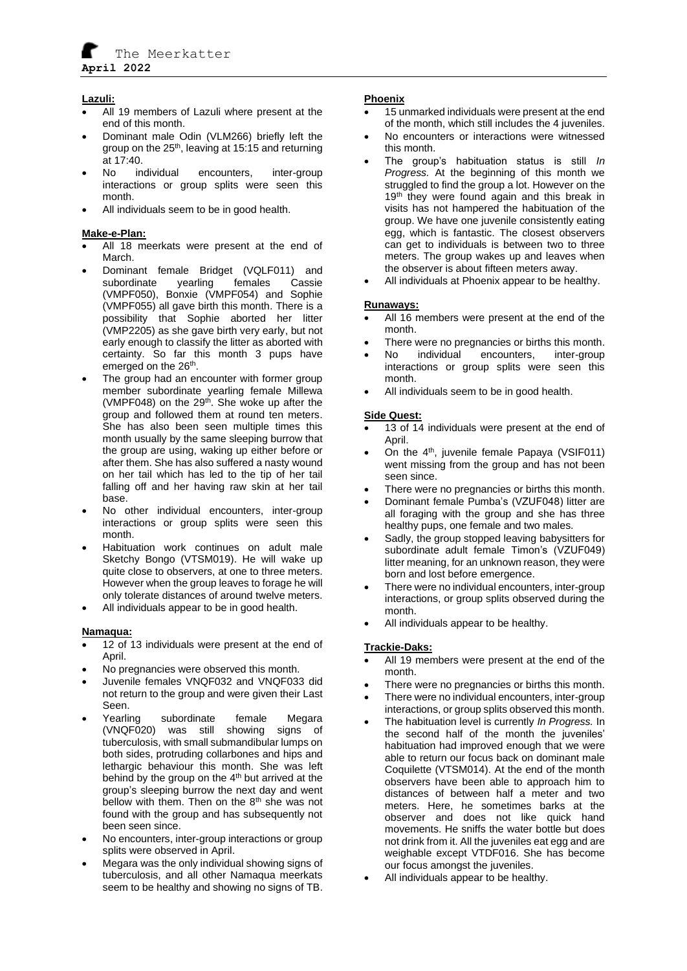The Meerkatter **April 2022**

### **Lazuli:**

- All 19 members of Lazuli where present at the end of this month.
- Dominant male Odin (VLM266) briefly left the group on the  $25<sup>th</sup>$ , leaving at 15:15 and returning  $at 17:40.$
- No individual encounters, inter-group interactions or group splits were seen this month.
- All individuals seem to be in good health.

# **Make-e-Plan:**

- All 18 meerkats were present at the end of March.
- Dominant female Bridget (VQLF011) and subordinate yearling females Cassie (VMPF050), Bonxie (VMPF054) and Sophie (VMPF055) all gave birth this month. There is a possibility that Sophie aborted her litter (VMP2205) as she gave birth very early, but not early enough to classify the litter as aborted with certainty. So far this month 3 pups have emerged on the 26<sup>th</sup>.
- The group had an encounter with former group member subordinate yearling female Millewa (VMPF048) on the 29<sup>th</sup>. She woke up after the group and followed them at round ten meters. She has also been seen multiple times this month usually by the same sleeping burrow that the group are using, waking up either before or after them. She has also suffered a nasty wound on her tail which has led to the tip of her tail falling off and her having raw skin at her tail base.
- No other individual encounters, inter-group interactions or group splits were seen this month.
- Habituation work continues on adult male Sketchy Bongo (VTSM019). He will wake up quite close to observers, at one to three meters. However when the group leaves to forage he will only tolerate distances of around twelve meters.
- All individuals appear to be in good health.

#### **Namaqua:**

- 12 of 13 individuals were present at the end of April.
- No pregnancies were observed this month.
- Juvenile females VNQF032 and VNQF033 did not return to the group and were given their Last Seen.
- Yearling subordinate female Megara (VNQF020) was still showing signs of tuberculosis, with small submandibular lumps on both sides, protruding collarbones and hips and lethargic behaviour this month. She was left behind by the group on the  $4<sup>th</sup>$  but arrived at the group's sleeping burrow the next day and went bellow with them. Then on the 8<sup>th</sup> she was not found with the group and has subsequently not been seen since.
- No encounters, inter-group interactions or group splits were observed in April.
- Megara was the only individual showing signs of tuberculosis, and all other Namaqua meerkats seem to be healthy and showing no signs of TB.

## **Phoenix**

- 15 unmarked individuals were present at the end of the month, which still includes the 4 juveniles.
- No encounters or interactions were witnessed this month.
- The group's habituation status is still *In Progress.* At the beginning of this month we struggled to find the group a lot. However on the 19<sup>th</sup> they were found again and this break in visits has not hampered the habituation of the group. We have one juvenile consistently eating egg, which is fantastic. The closest observers can get to individuals is between two to three meters. The group wakes up and leaves when the observer is about fifteen meters away.
- All individuals at Phoenix appear to be healthy.

## **Runaways:**

- All 16 members were present at the end of the month.
- There were no pregnancies or births this month.
- No individual encounters, inter-group interactions or group splits were seen this month.
- All individuals seem to be in good health.

## **Side Quest:**

- 13 of 14 individuals were present at the end of April.
- On the  $4<sup>th</sup>$ , juvenile female Papaya (VSIF011) went missing from the group and has not been seen since.
- There were no pregnancies or births this month.
- Dominant female Pumba's (VZUF048) litter are all foraging with the group and she has three healthy pups, one female and two males.
- Sadly, the group stopped leaving babysitters for subordinate adult female Timon's (VZUF049) litter meaning, for an unknown reason, they were born and lost before emergence.
- There were no individual encounters, inter-group interactions, or group splits observed during the month.
- All individuals appear to be healthy.

# **Trackie-Daks:**

- All 19 members were present at the end of the month.
- There were no pregnancies or births this month.
- There were no individual encounters, inter-group interactions, or group splits observed this month.
- The habituation level is currently *In Progress.* In the second half of the month the juveniles' habituation had improved enough that we were able to return our focus back on dominant male Coquilette (VTSM014). At the end of the month observers have been able to approach him to distances of between half a meter and two meters. Here, he sometimes barks at the observer and does not like quick hand movements. He sniffs the water bottle but does not drink from it. All the juveniles eat egg and are weighable except VTDF016. She has become our focus amongst the juveniles.
- All individuals appear to be healthy.